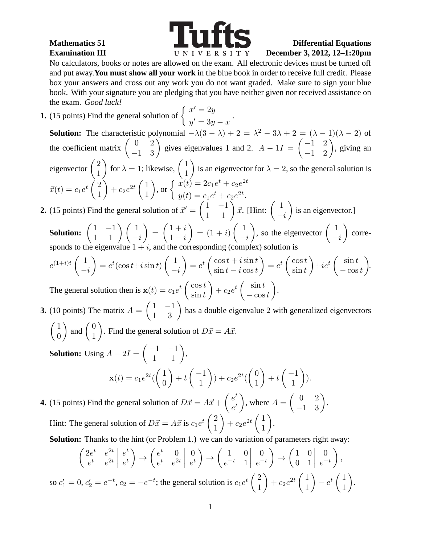so  $c'_1$ 



## **Mathematics 51 Differential Equations Examination III December 3, 2012, 12-1:20pm**

No calculators, books or notes are allowed on the exam. All electronic devices must be turned off and put away.**You must show all your work** in the blue book in order to receive full credit. Please box your answers and cross out any work you do not want graded. Make sure to sign your blue book. With your signature you are pledging that you have neither given nor received assistance on the exam. Good luck!

**1.** (15 points) Find the general solution of  $\begin{cases} x' = 2y \\ 0 \end{cases}$  $y'=3y-x$ . **Solution:** The characteristic polynomial  $-\lambda(3-\lambda) + 2 = \lambda^2 - 3\lambda + 2 = (\lambda - 1)(\lambda - 2)$  of the coefficient matrix  $\begin{pmatrix} 0 & 2 \\ -1 & 3 \end{pmatrix}$  gives eigenvalues 1 and 2.  $A - 1I = \begin{pmatrix} -1 & 2 \\ -1 & 2 \end{pmatrix}$ , giving an eigenvector  $\begin{pmatrix} 2 \\ 1 \end{pmatrix}$ 1 for  $\lambda = 1$ ; likewise,  $\begin{pmatrix} 1 \\ 1 \end{pmatrix}$ 1 is an eigenvector for  $\lambda = 2$ , so the general solution is  $\vec{x}(t) = c_1 e^t \begin{pmatrix} 2 \\ 1 \end{pmatrix}$ 1  $+ c_2 e^{2t} \left( \frac{1}{1} \right)$ 1 ), or  $\begin{cases} x(t) = 2c_1e^t + c_2e^{2t} \\ y(t) = t_1 + c_2t_2 \end{cases}$  $y(t) = c_1 e^t + c_2 e^{2t}.$ 

## **2.** (15 points) Find the general solution of  $\vec{x}' = \begin{pmatrix} 1 & -1 \\ 1 & 1 \end{pmatrix} \vec{x}$ . [Hint:  $\begin{pmatrix} 1 & 1 \\ -1 & 1 \end{pmatrix}$  $-i$ ) is an eigenvector.]

**Solution:**  $\begin{pmatrix} 1 & -1 \\ 1 & 1 \end{pmatrix} \begin{pmatrix} 1 \\ -i \end{pmatrix}$  $\setminus$ =  $\sqrt{1+i}$  $1 - i$  $= (1+i)$  $(1+i)$  $-i$ ), so the eigenvector  $\begin{pmatrix} 1 \end{pmatrix}$  $-i$  $\Big)$  corresponds to the eigenvalue  $1 + i$ , and the corresponding (complex) solution is

$$
e^{(1+i)t} \begin{pmatrix} 1 \\ -i \end{pmatrix} = e^t (\cos t + i \sin t) \begin{pmatrix} 1 \\ -i \end{pmatrix} = e^t \begin{pmatrix} \cos t + i \sin t \\ \sin t - i \cos t \end{pmatrix} = e^t \begin{pmatrix} \cos t \\ \sin t \end{pmatrix} + ie^t \begin{pmatrix} \sin t \\ -\cos t \end{pmatrix}.
$$
  
The general solution then is  $\mathbf{x}(t) = c_1 e^t \begin{pmatrix} \cos t \\ \sin t \end{pmatrix} + c_2 e^t \begin{pmatrix} \sin t \\ -\cos t \end{pmatrix}.$ 

**3.** (10 points) The matrix  $A = \begin{pmatrix} 1 & -1 \\ 1 & 3 \end{pmatrix}$  has a double eigenvalue 2 with generalized eigenvectors  $\sqrt{1}$  $\theta$ ) and  $\begin{pmatrix} 0 \\ 1 \end{pmatrix}$ 1 ). Find the general solution of  $D\vec{x} = A\vec{x}$ .

**Solution:** Using  $A - 2I = \begin{pmatrix} -1 & -1 \\ 1 & 1 \end{pmatrix}$ , **(**  $\sqrt{1}$  $\theta$  $\Big\} + t \left( \begin{array}{c} -1 \\ 1 \end{array} \right)$ 1  $\Big) + c_2 e^{2t}$  $\sqrt{0}$ 1  $\Big\} + t \left( \begin{array}{c} -1 \\ 1 \end{array} \right)$ 1  $\bigg).$ 

**4.** (15 points) Find the general solution of  $D\vec{x} = A\vec{x} + \begin{pmatrix} e^t \\ -t \end{pmatrix}$  $e^t$ ), where  $A = \begin{pmatrix} 0 & 2 \\ -1 & 3 \end{pmatrix}$ . Hint: The general solution of  $D\vec{x} = A\vec{x}$  is  $c_1e^t\begin{pmatrix} 2 \\ 1 \end{pmatrix}$ 1  $+ c_2 e^{2t} \left( \frac{1}{1} \right)$ 1 .

**Solution:** Thanks to the hint (or Problem 1.) we can do variation of parameters right away:

$$
\begin{pmatrix} 2e^t & e^{2t} & e^t \\ e^t & e^{2t} & e^t \end{pmatrix} \rightarrow \begin{pmatrix} e^t & 0 & 0 \\ e^t & e^{2t} & e^t \end{pmatrix} \rightarrow \begin{pmatrix} 1 & 0 & 0 \\ e^{-t} & 1 & e^{-t} \end{pmatrix} \rightarrow \begin{pmatrix} 1 & 0 & 0 \\ 0 & 1 & e^{-t} \end{pmatrix},
$$
  
\n
$$
V_1 = 0, c_2' = e^{-t}, c_2 = -e^{-t};
$$
 the general solution is  $c_1 e^t \begin{pmatrix} 2 \\ 1 \end{pmatrix} + c_2 e^{2t} \begin{pmatrix} 1 \\ 1 \end{pmatrix} - e^t \begin{pmatrix} 1 \\ 1 \end{pmatrix}.$